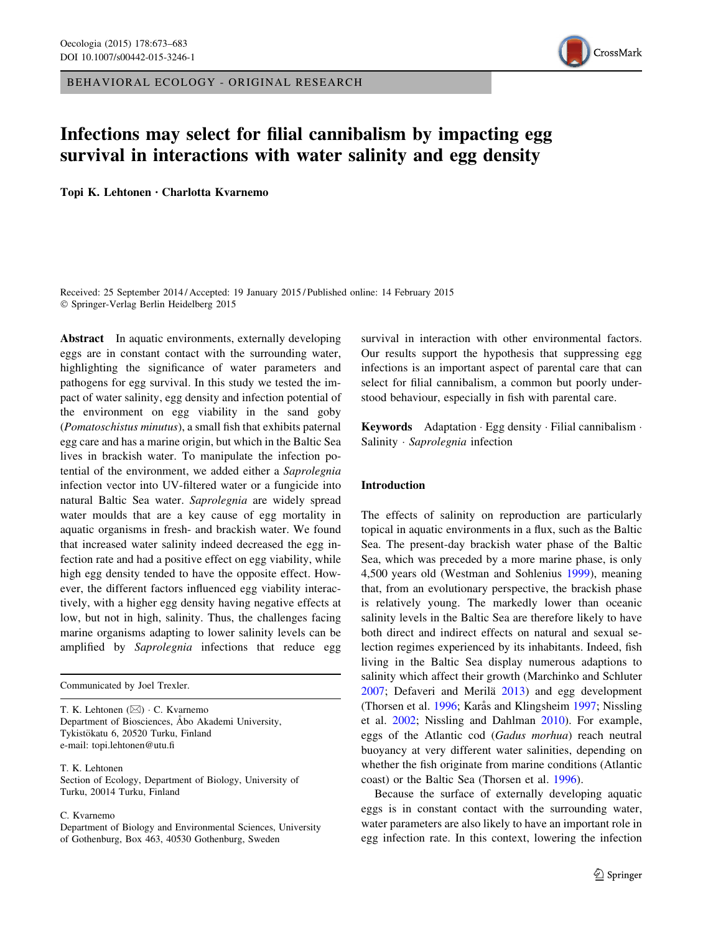BEHAVIORAL ECOLOGY - ORIGINAL RESEARCH



# Infections may select for filial cannibalism by impacting egg survival in interactions with water salinity and egg density

Topi K. Lehtonen • Charlotta Kvarnemo

Received: 25 September 2014 / Accepted: 19 January 2015 / Published online: 14 February 2015 - Springer-Verlag Berlin Heidelberg 2015

Abstract In aquatic environments, externally developing eggs are in constant contact with the surrounding water, highlighting the significance of water parameters and pathogens for egg survival. In this study we tested the impact of water salinity, egg density and infection potential of the environment on egg viability in the sand goby (Pomatoschistus minutus), a small fish that exhibits paternal egg care and has a marine origin, but which in the Baltic Sea lives in brackish water. To manipulate the infection potential of the environment, we added either a Saprolegnia infection vector into UV-filtered water or a fungicide into natural Baltic Sea water. Saprolegnia are widely spread water moulds that are a key cause of egg mortality in aquatic organisms in fresh- and brackish water. We found that increased water salinity indeed decreased the egg infection rate and had a positive effect on egg viability, while high egg density tended to have the opposite effect. However, the different factors influenced egg viability interactively, with a higher egg density having negative effects at low, but not in high, salinity. Thus, the challenges facing marine organisms adapting to lower salinity levels can be amplified by Saprolegnia infections that reduce egg

Communicated by Joel Trexler.

T. K. Lehtonen (⊠) · C. Kvarnemo Department of Biosciences, Abo Akademi University, Tykistökatu 6, 20520 Turku, Finland e-mail: topi.lehtonen@utu.fi

T. K. Lehtonen Section of Ecology, Department of Biology, University of Turku, 20014 Turku, Finland

#### C. Kvarnemo

Department of Biology and Environmental Sciences, University of Gothenburg, Box 463, 40530 Gothenburg, Sweden

survival in interaction with other environmental factors. Our results support the hypothesis that suppressing egg infections is an important aspect of parental care that can select for filial cannibalism, a common but poorly understood behaviour, especially in fish with parental care.

Keywords Adaptation · Egg density · Filial cannibalism · Salinity · Saprolegnia infection

## Introduction

The effects of salinity on reproduction are particularly topical in aquatic environments in a flux, such as the Baltic Sea. The present-day brackish water phase of the Baltic Sea, which was preceded by a more marine phase, is only 4,500 years old (Westman and Sohlenius [1999](#page-10-0)), meaning that, from an evolutionary perspective, the brackish phase is relatively young. The markedly lower than oceanic salinity levels in the Baltic Sea are therefore likely to have both direct and indirect effects on natural and sexual selection regimes experienced by its inhabitants. Indeed, fish living in the Baltic Sea display numerous adaptions to salinity which affect their growth (Marchinko and Schluter [2007](#page-9-0); Defaveri and Merilä [2013](#page-8-0)) and egg development (Thorsen et al. [1996](#page-10-0); Karås and Klingsheim [1997](#page-9-0); Nissling et al. [2002;](#page-10-0) Nissling and Dahlman [2010\)](#page-10-0). For example, eggs of the Atlantic cod (Gadus morhua) reach neutral buoyancy at very different water salinities, depending on whether the fish originate from marine conditions (Atlantic coast) or the Baltic Sea (Thorsen et al. [1996\)](#page-10-0).

Because the surface of externally developing aquatic eggs is in constant contact with the surrounding water, water parameters are also likely to have an important role in egg infection rate. In this context, lowering the infection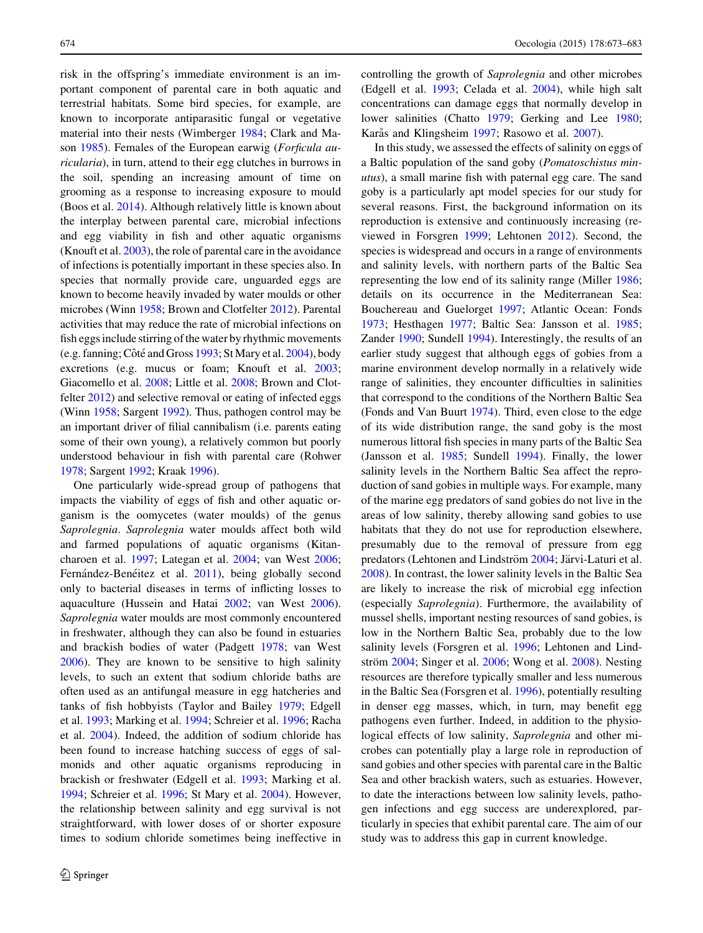risk in the offspring's immediate environment is an important component of parental care in both aquatic and terrestrial habitats. Some bird species, for example, are known to incorporate antiparasitic fungal or vegetative material into their nests (Wimberger [1984](#page-10-0); Clark and Ma-son [1985\)](#page-8-0). Females of the European earwig (*Forficula au*ricularia), in turn, attend to their egg clutches in burrows in the soil, spending an increasing amount of time on grooming as a response to increasing exposure to mould (Boos et al. [2014\)](#page-8-0). Although relatively little is known about the interplay between parental care, microbial infections and egg viability in fish and other aquatic organisms (Knouft et al. [2003](#page-9-0)), the role of parental care in the avoidance of infections is potentially important in these species also. In species that normally provide care, unguarded eggs are known to become heavily invaded by water moulds or other microbes (Winn [1958](#page-10-0); Brown and Clotfelter [2012](#page-8-0)). Parental activities that may reduce the rate of microbial infections on fish eggs include stirring of the water by rhythmic movements (e.g. fanning; Côté and Gross  $1993$ ; St Mary et al. [2004](#page-10-0)), body excretions (e.g. mucus or foam; Knouft et al. [2003](#page-9-0); Giacomello et al. [2008;](#page-9-0) Little et al. [2008;](#page-9-0) Brown and Clotfelter [2012](#page-8-0)) and selective removal or eating of infected eggs (Winn [1958;](#page-10-0) Sargent [1992\)](#page-10-0). Thus, pathogen control may be an important driver of filial cannibalism (i.e. parents eating some of their own young), a relatively common but poorly understood behaviour in fish with parental care (Rohwer [1978;](#page-10-0) Sargent [1992;](#page-10-0) Kraak [1996](#page-9-0)).

One particularly wide-spread group of pathogens that impacts the viability of eggs of fish and other aquatic organism is the oomycetes (water moulds) of the genus Saprolegnia. Saprolegnia water moulds affect both wild and farmed populations of aquatic organisms (Kitancharoen et al. [1997;](#page-9-0) Lategan et al. [2004;](#page-9-0) van West [2006](#page-10-0); Fernández-Benéitez et al. [2011](#page-9-0)), being globally second only to bacterial diseases in terms of inflicting losses to aquaculture (Hussein and Hatai [2002](#page-9-0); van West [2006](#page-10-0)). Saprolegnia water moulds are most commonly encountered in freshwater, although they can also be found in estuaries and brackish bodies of water (Padgett [1978;](#page-10-0) van West [2006\)](#page-10-0). They are known to be sensitive to high salinity levels, to such an extent that sodium chloride baths are often used as an antifungal measure in egg hatcheries and tanks of fish hobbyists (Taylor and Bailey [1979;](#page-10-0) Edgell et al. [1993;](#page-9-0) Marking et al. [1994](#page-9-0); Schreier et al. [1996;](#page-10-0) Racha et al. [2004](#page-10-0)). Indeed, the addition of sodium chloride has been found to increase hatching success of eggs of salmonids and other aquatic organisms reproducing in brackish or freshwater (Edgell et al. [1993;](#page-9-0) Marking et al. [1994;](#page-9-0) Schreier et al. [1996](#page-10-0); St Mary et al. [2004](#page-10-0)). However, the relationship between salinity and egg survival is not straightforward, with lower doses of or shorter exposure times to sodium chloride sometimes being ineffective in controlling the growth of Saprolegnia and other microbes (Edgell et al. [1993;](#page-9-0) Celada et al. [2004](#page-8-0)), while high salt concentrations can damage eggs that normally develop in lower salinities (Chatto [1979;](#page-8-0) Gerking and Lee [1980](#page-9-0); Karås and Klingsheim [1997](#page-9-0); Rasowo et al. [2007\)](#page-10-0).

In this study, we assessed the effects of salinity on eggs of a Baltic population of the sand goby (Pomatoschistus minutus), a small marine fish with paternal egg care. The sand goby is a particularly apt model species for our study for several reasons. First, the background information on its reproduction is extensive and continuously increasing (reviewed in Forsgren [1999](#page-9-0); Lehtonen [2012](#page-9-0)). Second, the species is widespread and occurs in a range of environments and salinity levels, with northern parts of the Baltic Sea representing the low end of its salinity range (Miller [1986](#page-9-0); details on its occurrence in the Mediterranean Sea: Bouchereau and Guelorget [1997](#page-8-0); Atlantic Ocean: Fonds [1973](#page-9-0); Hesthagen [1977;](#page-9-0) Baltic Sea: Jansson et al. [1985](#page-9-0); Zander [1990](#page-10-0); Sundell [1994\)](#page-10-0). Interestingly, the results of an earlier study suggest that although eggs of gobies from a marine environment develop normally in a relatively wide range of salinities, they encounter difficulties in salinities that correspond to the conditions of the Northern Baltic Sea (Fonds and Van Buurt [1974\)](#page-9-0). Third, even close to the edge of its wide distribution range, the sand goby is the most numerous littoral fish species in many parts of the Baltic Sea (Jansson et al. [1985](#page-9-0); Sundell [1994\)](#page-10-0). Finally, the lower salinity levels in the Northern Baltic Sea affect the reproduction of sand gobies in multiple ways. For example, many of the marine egg predators of sand gobies do not live in the areas of low salinity, thereby allowing sand gobies to use habitats that they do not use for reproduction elsewhere, presumably due to the removal of pressure from egg predators (Lehtonen and Lindström [2004](#page-9-0); Järvi-Laturi et al. [2008](#page-9-0)). In contrast, the lower salinity levels in the Baltic Sea are likely to increase the risk of microbial egg infection (especially Saprolegnia). Furthermore, the availability of mussel shells, important nesting resources of sand gobies, is low in the Northern Baltic Sea, probably due to the low salinity levels (Forsgren et al. [1996;](#page-9-0) Lehtonen and Lind-ström [2004;](#page-9-0) Singer et al. [2006;](#page-10-0) Wong et al. [2008\)](#page-10-0). Nesting resources are therefore typically smaller and less numerous in the Baltic Sea (Forsgren et al. [1996\)](#page-9-0), potentially resulting in denser egg masses, which, in turn, may benefit egg pathogens even further. Indeed, in addition to the physiological effects of low salinity, Saprolegnia and other microbes can potentially play a large role in reproduction of sand gobies and other species with parental care in the Baltic Sea and other brackish waters, such as estuaries. However, to date the interactions between low salinity levels, pathogen infections and egg success are underexplored, particularly in species that exhibit parental care. The aim of our study was to address this gap in current knowledge.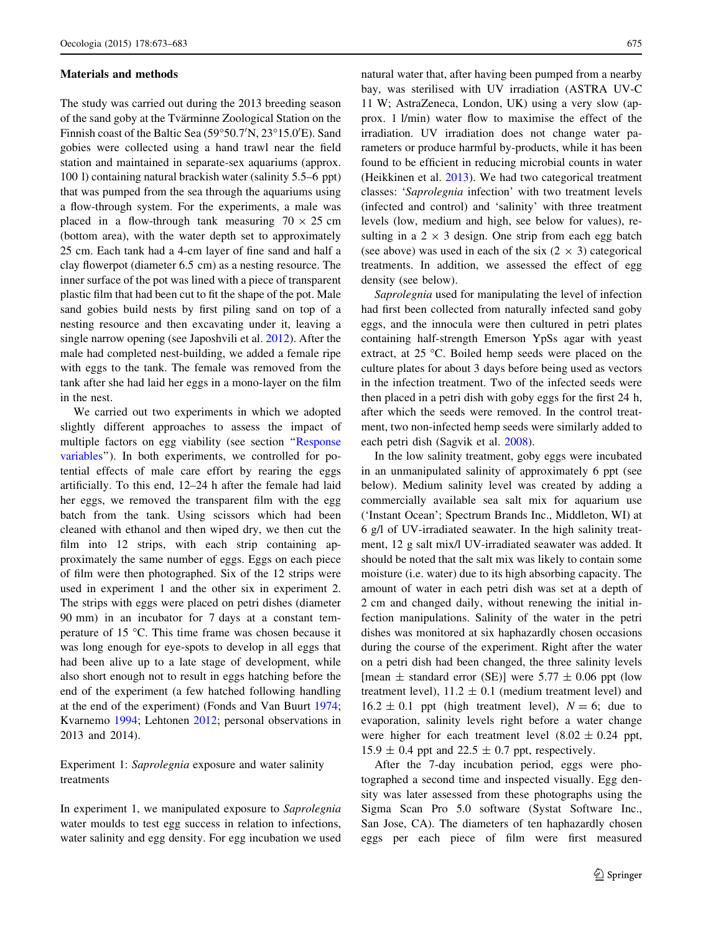#### Materials and methods

The study was carried out during the 2013 breeding season of the sand goby at the Tvärminne Zoological Station on the Finnish coast of the Baltic Sea (59°50.7'N, 23°15.0'E). Sand gobies were collected using a hand trawl near the field station and maintained in separate-sex aquariums (approx. 100 l) containing natural brackish water (salinity 5.5–6 ppt) that was pumped from the sea through the aquariums using a flow-through system. For the experiments, a male was placed in a flow-through tank measuring  $70 \times 25$  cm (bottom area), with the water depth set to approximately 25 cm. Each tank had a 4-cm layer of fine sand and half a clay flowerpot (diameter 6.5 cm) as a nesting resource. The inner surface of the pot was lined with a piece of transparent plastic film that had been cut to fit the shape of the pot. Male sand gobies build nests by first piling sand on top of a nesting resource and then excavating under it, leaving a single narrow opening (see Japoshvili et al. [2012](#page-9-0)). After the male had completed nest-building, we added a female ripe with eggs to the tank. The female was removed from the tank after she had laid her eggs in a mono-layer on the film in the nest.

We carried out two experiments in which we adopted slightly different approaches to assess the impact of multiple factors on egg viability (see section ''[Response](#page-3-0) [variables](#page-3-0)''). In both experiments, we controlled for potential effects of male care effort by rearing the eggs artificially. To this end, 12–24 h after the female had laid her eggs, we removed the transparent film with the egg batch from the tank. Using scissors which had been cleaned with ethanol and then wiped dry, we then cut the film into 12 strips, with each strip containing approximately the same number of eggs. Eggs on each piece of film were then photographed. Six of the 12 strips were used in experiment 1 and the other six in experiment 2. The strips with eggs were placed on petri dishes (diameter 90 mm) in an incubator for 7 days at a constant temperature of 15 °C. This time frame was chosen because it was long enough for eye-spots to develop in all eggs that had been alive up to a late stage of development, while also short enough not to result in eggs hatching before the end of the experiment (a few hatched following handling at the end of the experiment) (Fonds and Van Buurt [1974](#page-9-0); Kvarnemo [1994;](#page-9-0) Lehtonen [2012;](#page-9-0) personal observations in 2013 and 2014).

Experiment 1: Saprolegnia exposure and water salinity treatments

In experiment 1, we manipulated exposure to Saprolegnia water moulds to test egg success in relation to infections, water salinity and egg density. For egg incubation we used natural water that, after having been pumped from a nearby bay, was sterilised with UV irradiation (ASTRA UV-C 11 W; AstraZeneca, London, UK) using a very slow (approx. 1 l/min) water flow to maximise the effect of the irradiation. UV irradiation does not change water parameters or produce harmful by-products, while it has been found to be efficient in reducing microbial counts in water (Heikkinen et al. [2013](#page-9-0)). We had two categorical treatment classes: 'Saprolegnia infection' with two treatment levels (infected and control) and 'salinity' with three treatment levels (low, medium and high, see below for values), resulting in a  $2 \times 3$  design. One strip from each egg batch (see above) was used in each of the six  $(2 \times 3)$  categorical treatments. In addition, we assessed the effect of egg density (see below).

Saprolegnia used for manipulating the level of infection had first been collected from naturally infected sand goby eggs, and the innocula were then cultured in petri plates containing half-strength Emerson YpSs agar with yeast extract, at 25 °C. Boiled hemp seeds were placed on the culture plates for about 3 days before being used as vectors in the infection treatment. Two of the infected seeds were then placed in a petri dish with goby eggs for the first 24 h, after which the seeds were removed. In the control treatment, two non-infected hemp seeds were similarly added to each petri dish (Sagvik et al. [2008\)](#page-10-0).

In the low salinity treatment, goby eggs were incubated in an unmanipulated salinity of approximately 6 ppt (see below). Medium salinity level was created by adding a commercially available sea salt mix for aquarium use ('Instant Ocean'; Spectrum Brands Inc., Middleton, WI) at 6 g/l of UV-irradiated seawater. In the high salinity treatment, 12 g salt mix/l UV-irradiated seawater was added. It should be noted that the salt mix was likely to contain some moisture (i.e. water) due to its high absorbing capacity. The amount of water in each petri dish was set at a depth of 2 cm and changed daily, without renewing the initial infection manipulations. Salinity of the water in the petri dishes was monitored at six haphazardly chosen occasions during the course of the experiment. Right after the water on a petri dish had been changed, the three salinity levels [mean  $\pm$  standard error (SE)] were 5.77  $\pm$  0.06 ppt (low treatment level),  $11.2 \pm 0.1$  (medium treatment level) and  $16.2 \pm 0.1$  ppt (high treatment level),  $N = 6$ ; due to evaporation, salinity levels right before a water change were higher for each treatment level  $(8.02 \pm 0.24$  ppt,  $15.9 \pm 0.4$  ppt and  $22.5 \pm 0.7$  ppt, respectively.

After the 7-day incubation period, eggs were photographed a second time and inspected visually. Egg density was later assessed from these photographs using the Sigma Scan Pro 5.0 software (Systat Software Inc., San Jose, CA). The diameters of ten haphazardly chosen eggs per each piece of film were first measured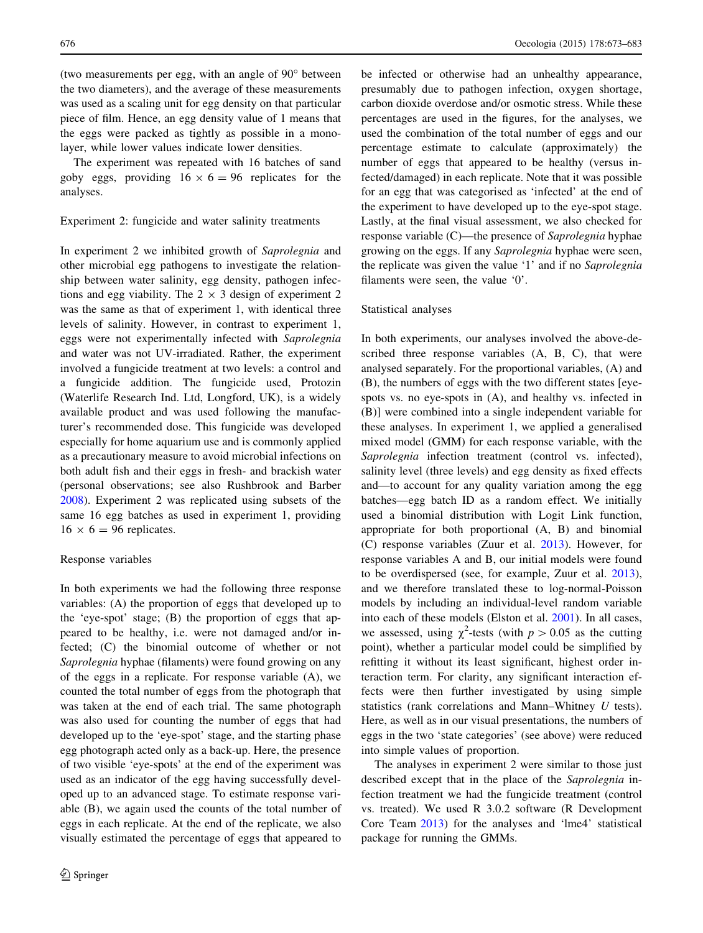<span id="page-3-0"></span>(two measurements per egg, with an angle of  $90^\circ$  between the two diameters), and the average of these measurements was used as a scaling unit for egg density on that particular piece of film. Hence, an egg density value of 1 means that the eggs were packed as tightly as possible in a monolayer, while lower values indicate lower densities.

The experiment was repeated with 16 batches of sand goby eggs, providing  $16 \times 6 = 96$  replicates for the analyses.

# Experiment 2: fungicide and water salinity treatments

In experiment 2 we inhibited growth of Saprolegnia and other microbial egg pathogens to investigate the relationship between water salinity, egg density, pathogen infections and egg viability. The  $2 \times 3$  design of experiment 2 was the same as that of experiment 1, with identical three levels of salinity. However, in contrast to experiment 1, eggs were not experimentally infected with Saprolegnia and water was not UV-irradiated. Rather, the experiment involved a fungicide treatment at two levels: a control and a fungicide addition. The fungicide used, Protozin (Waterlife Research Ind. Ltd, Longford, UK), is a widely available product and was used following the manufacturer's recommended dose. This fungicide was developed especially for home aquarium use and is commonly applied as a precautionary measure to avoid microbial infections on both adult fish and their eggs in fresh- and brackish water (personal observations; see also Rushbrook and Barber [2008\)](#page-10-0). Experiment 2 was replicated using subsets of the same 16 egg batches as used in experiment 1, providing  $16 \times 6 = 96$  replicates.

## Response variables

In both experiments we had the following three response variables: (A) the proportion of eggs that developed up to the 'eye-spot' stage; (B) the proportion of eggs that appeared to be healthy, i.e. were not damaged and/or infected; (C) the binomial outcome of whether or not Saprolegnia hyphae (filaments) were found growing on any of the eggs in a replicate. For response variable (A), we counted the total number of eggs from the photograph that was taken at the end of each trial. The same photograph was also used for counting the number of eggs that had developed up to the 'eye-spot' stage, and the starting phase egg photograph acted only as a back-up. Here, the presence of two visible 'eye-spots' at the end of the experiment was used as an indicator of the egg having successfully developed up to an advanced stage. To estimate response variable (B), we again used the counts of the total number of eggs in each replicate. At the end of the replicate, we also visually estimated the percentage of eggs that appeared to be infected or otherwise had an unhealthy appearance, presumably due to pathogen infection, oxygen shortage, carbon dioxide overdose and/or osmotic stress. While these percentages are used in the figures, for the analyses, we used the combination of the total number of eggs and our percentage estimate to calculate (approximately) the number of eggs that appeared to be healthy (versus infected/damaged) in each replicate. Note that it was possible for an egg that was categorised as 'infected' at the end of the experiment to have developed up to the eye-spot stage. Lastly, at the final visual assessment, we also checked for response variable (C)—the presence of Saprolegnia hyphae growing on the eggs. If any Saprolegnia hyphae were seen, the replicate was given the value '1' and if no Saprolegnia filaments were seen, the value '0'.

#### Statistical analyses

In both experiments, our analyses involved the above-described three response variables (A, B, C), that were analysed separately. For the proportional variables, (A) and (B), the numbers of eggs with the two different states [eyespots vs. no eye-spots in (A), and healthy vs. infected in (B)] were combined into a single independent variable for these analyses. In experiment 1, we applied a generalised mixed model (GMM) for each response variable, with the Saprolegnia infection treatment (control vs. infected), salinity level (three levels) and egg density as fixed effects and—to account for any quality variation among the egg batches—egg batch ID as a random effect. We initially used a binomial distribution with Logit Link function, appropriate for both proportional (A, B) and binomial (C) response variables (Zuur et al. [2013](#page-10-0)). However, for response variables A and B, our initial models were found to be overdispersed (see, for example, Zuur et al. [2013](#page-10-0)), and we therefore translated these to log-normal-Poisson models by including an individual-level random variable into each of these models (Elston et al. [2001\)](#page-9-0). In all cases, we assessed, using  $\chi^2$ -tests (with  $p > 0.05$  as the cutting point), whether a particular model could be simplified by refitting it without its least significant, highest order interaction term. For clarity, any significant interaction effects were then further investigated by using simple statistics (rank correlations and Mann–Whitney U tests). Here, as well as in our visual presentations, the numbers of eggs in the two 'state categories' (see above) were reduced into simple values of proportion.

The analyses in experiment 2 were similar to those just described except that in the place of the Saprolegnia infection treatment we had the fungicide treatment (control vs. treated). We used R 3.0.2 software (R Development Core Team [2013](#page-10-0)) for the analyses and 'lme4' statistical package for running the GMMs.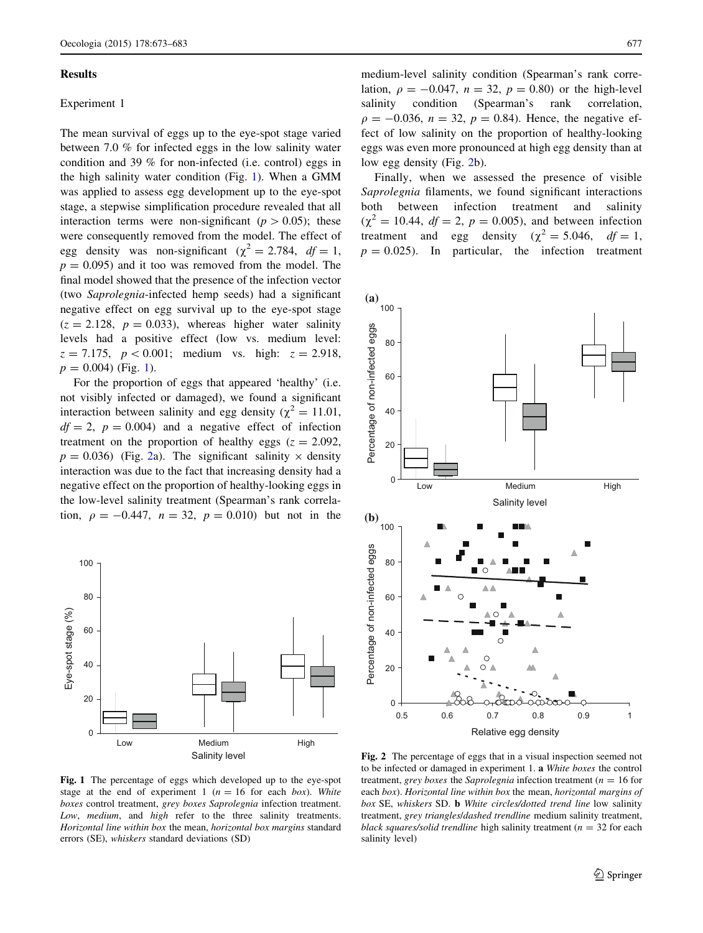#### <span id="page-4-0"></span>**Results**

# Experiment 1

The mean survival of eggs up to the eye-spot stage varied between 7.0 % for infected eggs in the low salinity water condition and 39 % for non-infected (i.e. control) eggs in the high salinity water condition (Fig. 1). When a GMM was applied to assess egg development up to the eye-spot stage, a stepwise simplification procedure revealed that all interaction terms were non-significant  $(p > 0.05)$ ; these were consequently removed from the model. The effect of egg density was non-significant ( $\chi^2 = 2.784$ ,  $df = 1$ ,  $p = 0.095$ ) and it too was removed from the model. The final model showed that the presence of the infection vector (two Saprolegnia-infected hemp seeds) had a significant negative effect on egg survival up to the eye-spot stage  $(z = 2.128, p = 0.033)$ , whereas higher water salinity levels had a positive effect (low vs. medium level:  $z = 7.175$ ,  $p < 0.001$ ; medium vs. high:  $z = 2.918$ ,  $p = 0.004$ ) (Fig. 1).

For the proportion of eggs that appeared 'healthy' (i.e. not visibly infected or damaged), we found a significant interaction between salinity and egg density ( $\chi^2 = 11.01$ ,  $df = 2$ ,  $p = 0.004$ ) and a negative effect of infection treatment on the proportion of healthy eggs ( $z = 2.092$ ,  $p = 0.036$ ) (Fig. 2a). The significant salinity  $\times$  density interaction was due to the fact that increasing density had a negative effect on the proportion of healthy-looking eggs in the low-level salinity treatment (Spearman's rank correlation,  $\rho = -0.447$ ,  $n = 32$ ,  $p = 0.010$ ) but not in the



Fig. 1 The percentage of eggs which developed up to the eye-spot stage at the end of experiment 1 ( $n = 16$  for each box). White boxes control treatment, grey boxes Saprolegnia infection treatment. Low, medium, and high refer to the three salinity treatments. Horizontal line within box the mean, horizontal box margins standard errors (SE), whiskers standard deviations (SD)

medium-level salinity condition (Spearman's rank correlation,  $\rho = -0.047$ ,  $n = 32$ ,  $p = 0.80$  or the high-level salinity condition (Spearman's rank correlation,  $\rho = -0.036$ ,  $n = 32$ ,  $p = 0.84$ ). Hence, the negative effect of low salinity on the proportion of healthy-looking eggs was even more pronounced at high egg density than at low egg density (Fig. 2b).

Finally, when we assessed the presence of visible Saprolegnia filaments, we found significant interactions both between infection treatment and salinity  $(\chi^2 = 10.44, df = 2, p = 0.005)$ , and between infection treatment and egg density ( $\chi^2 = 5.046$ ,  $df = 1$ ,  $p = 0.025$ . In particular, the infection treatment



Fig. 2 The percentage of eggs that in a visual inspection seemed not to be infected or damaged in experiment 1. a White boxes the control treatment, grey boxes the Saprolegnia infection treatment ( $n = 16$  for each box). Horizontal line within box the mean, horizontal margins of box SE, whiskers SD. b White circles/dotted trend line low salinity treatment, grey triangles/dashed trendline medium salinity treatment, black squares/solid trendline high salinity treatment ( $n = 32$  for each salinity level)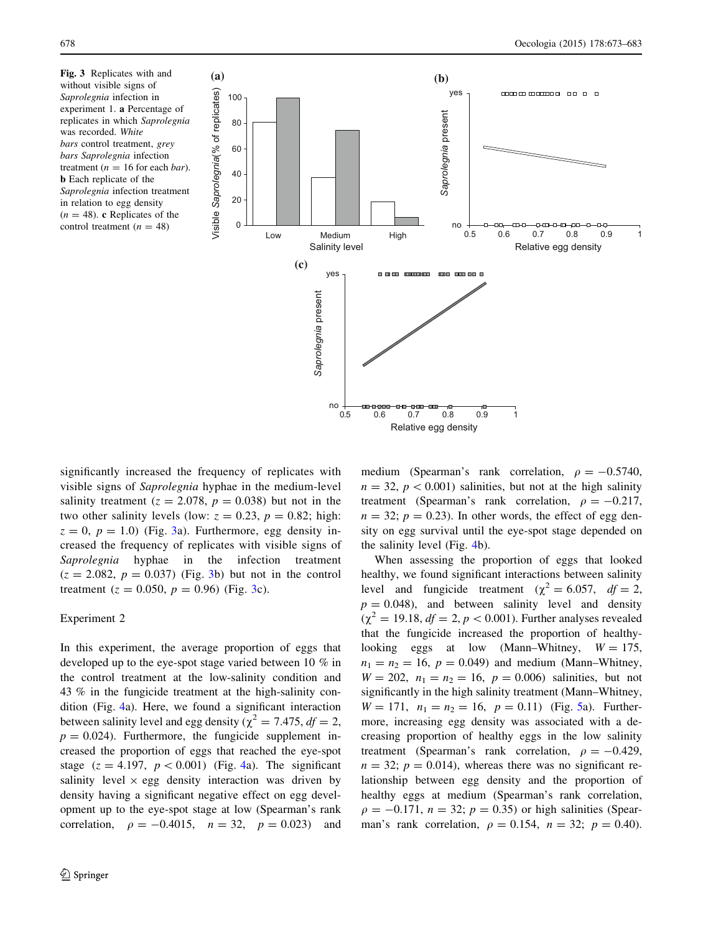<span id="page-5-0"></span>Fig. 3 Replicates with and without visible signs of Saprolegnia infection in experiment 1. a Percentage of replicates in which Saprolegnia was recorded. White bars control treatment, grey bars Saprolegnia infection treatment ( $n = 16$  for each *bar*). b Each replicate of the Saprolegnia infection treatment in relation to egg density  $(n = 48)$ . c Replicates of the control treatment ( $n = 48$ )



0.5 0.6 0.7 0.8 0.9 1 Relative egg density

significantly increased the frequency of replicates with visible signs of Saprolegnia hyphae in the medium-level salinity treatment ( $z = 2.078$ ,  $p = 0.038$ ) but not in the two other salinity levels (low:  $z = 0.23$ ,  $p = 0.82$ ; high:  $z = 0$ ,  $p = 1.0$ ) (Fig. 3a). Furthermore, egg density increased the frequency of replicates with visible signs of Saprolegnia hyphae in the infection treatment  $(z = 2.082, p = 0.037)$  (Fig. 3b) but not in the control treatment ( $z = 0.050$ ,  $p = 0.96$ ) (Fig. 3c).

Visible *Saprolegnia*(% of replicates)

Visible Saprolegnia(% of replicates)

# Experiment 2

In this experiment, the average proportion of eggs that developed up to the eye-spot stage varied between 10 % in the control treatment at the low-salinity condition and 43 % in the fungicide treatment at the high-salinity condition (Fig. [4](#page-6-0)a). Here, we found a significant interaction between salinity level and egg density ( $\chi^2 = 7.475$ ,  $df = 2$ ,  $p = 0.024$ . Furthermore, the fungicide supplement increased the proportion of eggs that reached the eye-spot stage  $(z = 4.197, p < 0.001)$  (Fig. [4a](#page-6-0)). The significant salinity level  $\times$  egg density interaction was driven by density having a significant negative effect on egg development up to the eye-spot stage at low (Spearman's rank correlation,  $\rho = -0.4015$ ,  $n = 32$ ,  $p = 0.023$  and medium (Spearman's rank correlation,  $\rho = -0.5740$ ,  $n = 32$ ,  $p < 0.001$ ) salinities, but not at the high salinity treatment (Spearman's rank correlation,  $\rho = -0.217$ ,  $n = 32$ ;  $p = 0.23$ ). In other words, the effect of egg density on egg survival until the eye-spot stage depended on the salinity level (Fig. [4b](#page-6-0)).

When assessing the proportion of eggs that looked healthy, we found significant interactions between salinity level and fungicide treatment ( $\chi^2 = 6.057$ ,  $df = 2$ ,  $p = 0.048$ , and between salinity level and density  $\left(\chi^2 = 19.18, df = 2, p < 0.001\right)$ . Further analyses revealed that the fungicide increased the proportion of healthylooking eggs at low (Mann–Whitney,  $W = 175$ ,  $n_1 = n_2 = 16$ ,  $p = 0.049$  and medium (Mann–Whitney,  $W = 202$ ,  $n_1 = n_2 = 16$ ,  $p = 0.006$ ) salinities, but not significantly in the high salinity treatment (Mann–Whitney,  $W = 171$ ,  $n_1 = n_2 = 16$ ,  $p = 0.11$ ) (Fig. [5](#page-6-0)a). Furthermore, increasing egg density was associated with a decreasing proportion of healthy eggs in the low salinity treatment (Spearman's rank correlation,  $\rho = -0.429$ ,  $n = 32$ ;  $p = 0.014$ ), whereas there was no significant relationship between egg density and the proportion of healthy eggs at medium (Spearman's rank correlation,  $\rho = -0.171$ ,  $n = 32$ ;  $p = 0.35$ ) or high salinities (Spearman's rank correlation,  $\rho = 0.154$ ,  $n = 32$ ;  $p = 0.40$ ).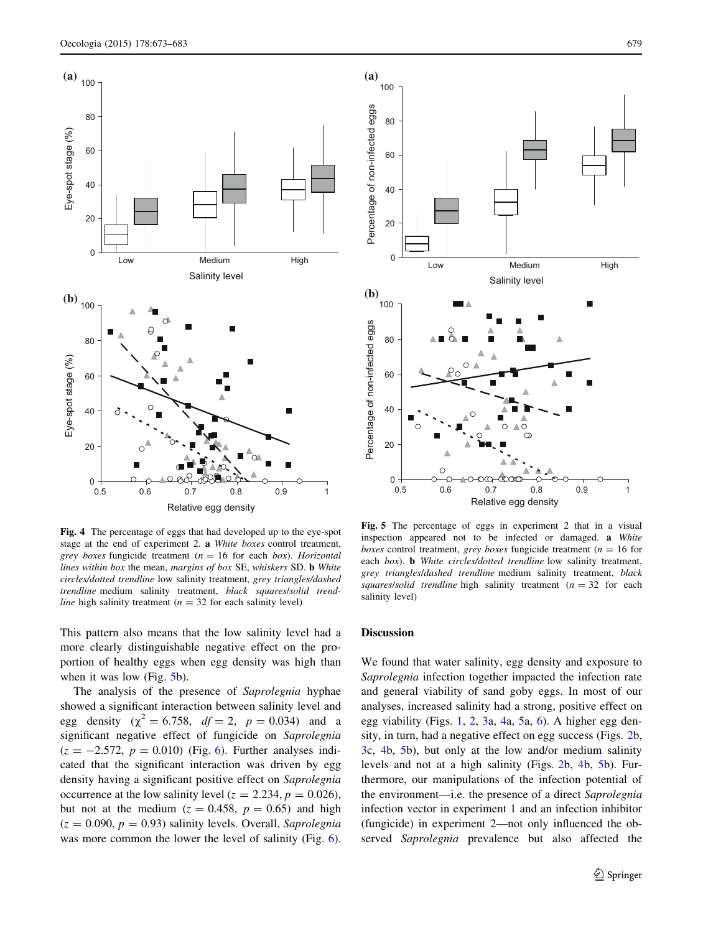<span id="page-6-0"></span>

Fig. 4 The percentage of eggs that had developed up to the eye-spot stage at the end of experiment 2. a White boxes control treatment, grey boxes fungicide treatment ( $n = 16$  for each box). Horizontal lines within box the mean, margins of box SE, whiskers SD. b White circles/dotted trendline low salinity treatment, grey triangles/dashed trendline medium salinity treatment, black squares/solid trendline high salinity treatment ( $n = 32$  for each salinity level)

This pattern also means that the low salinity level had a more clearly distinguishable negative effect on the proportion of healthy eggs when egg density was high than when it was low (Fig. 5b).

The analysis of the presence of Saprolegnia hyphae showed a significant interaction between salinity level and egg density ( $\chi^2 = 6.758$ ,  $df = 2$ ,  $p = 0.034$ ) and a significant negative effect of fungicide on Saprolegnia  $(z = -2.572, p = 0.010)$  (Fig. [6](#page-7-0)). Further analyses indicated that the significant interaction was driven by egg density having a significant positive effect on Saprolegnia occurrence at the low salinity level ( $z = 2.234$ ,  $p = 0.026$ ), but not at the medium ( $z = 0.458$ ,  $p = 0.65$ ) and high  $(z = 0.090, p = 0.93)$  salinity levels. Overall, Saprolegnia was more common the lower the level of salinity (Fig. [6](#page-7-0)).



 $\overline{C}$  $0 + 0.5$ 0.5 0.6 0.7 0.8 0.9 1 Relative egg density Fig. 5 The percentage of eggs in experiment 2 that in a visual inspection appeared not to be infected or damaged. a White boxes control treatment, grey boxes fungicide treatment ( $n = 16$  for each box). **b** White circles/dotted trendline low salinity treatment, grey triangles/dashed trendline medium salinity treatment, black

squares/solid trendline high salinity treatment ( $n = 32$  for each

#### Discussion

salinity level)

0

20

40

Percentage of non-infected eggs

Percentage of non-infected eggs

Percentage of non-infected eggs

Percentage of non-infected eggs

20

40

60

80

100

**(b)**

60

80

100

**(a)**

We found that water salinity, egg density and exposure to Saprolegnia infection together impacted the infection rate and general viability of sand goby eggs. In most of our analyses, increased salinity had a strong, positive effect on egg viability (Figs. [1](#page-4-0), [2,](#page-4-0) [3a](#page-5-0), 4a, 5a, [6\)](#page-7-0). A higher egg density, in turn, had a negative effect on egg success (Figs. [2b](#page-4-0), [3](#page-5-0)c, 4b, 5b), but only at the low and/or medium salinity levels and not at a high salinity (Figs. [2](#page-4-0)b, 4b, 5b). Furthermore, our manipulations of the infection potential of the environment—i.e. the presence of a direct Saprolegnia infection vector in experiment 1 and an infection inhibitor (fungicide) in experiment 2—not only influenced the observed Saprolegnia prevalence but also affected the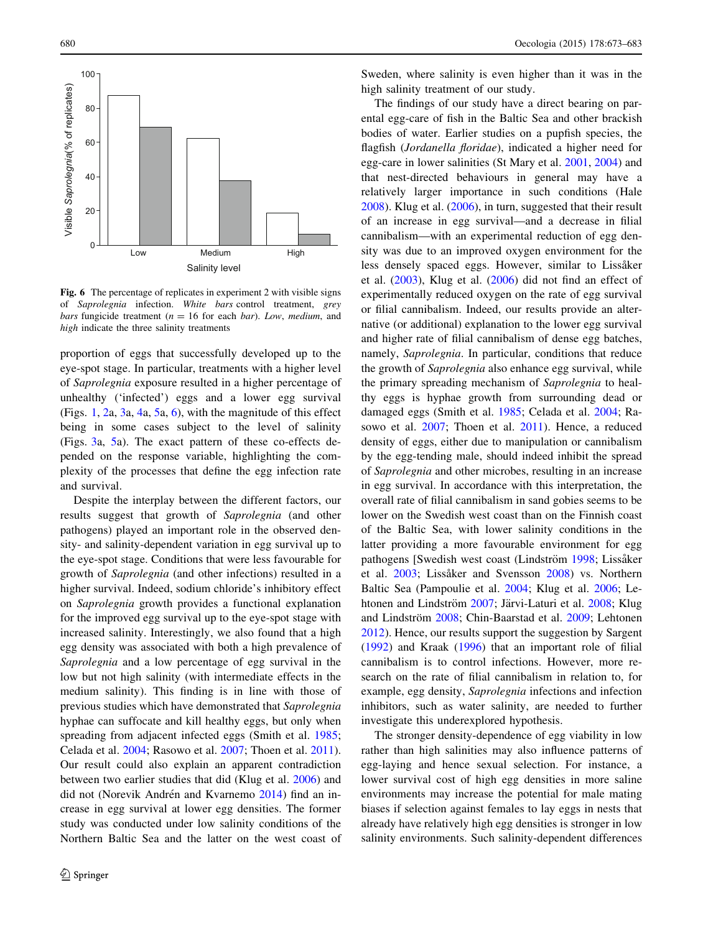<span id="page-7-0"></span>

Fig. 6 The percentage of replicates in experiment 2 with visible signs of Saprolegnia infection. White bars control treatment, grey *bars* fungicide treatment ( $n = 16$  for each *bar*). Low, *medium*, and high indicate the three salinity treatments

proportion of eggs that successfully developed up to the eye-spot stage. In particular, treatments with a higher level of Saprolegnia exposure resulted in a higher percentage of unhealthy ('infected') eggs and a lower egg survival (Figs. [1](#page-4-0), [2](#page-4-0)a, [3a](#page-5-0), [4](#page-6-0)a, [5a](#page-6-0), 6), with the magnitude of this effect being in some cases subject to the level of salinity (Figs. [3](#page-5-0)a, [5](#page-6-0)a). The exact pattern of these co-effects depended on the response variable, highlighting the complexity of the processes that define the egg infection rate and survival.

Despite the interplay between the different factors, our results suggest that growth of Saprolegnia (and other pathogens) played an important role in the observed density- and salinity-dependent variation in egg survival up to the eye-spot stage. Conditions that were less favourable for growth of Saprolegnia (and other infections) resulted in a higher survival. Indeed, sodium chloride's inhibitory effect on Saprolegnia growth provides a functional explanation for the improved egg survival up to the eye-spot stage with increased salinity. Interestingly, we also found that a high egg density was associated with both a high prevalence of Saprolegnia and a low percentage of egg survival in the low but not high salinity (with intermediate effects in the medium salinity). This finding is in line with those of previous studies which have demonstrated that Saprolegnia hyphae can suffocate and kill healthy eggs, but only when spreading from adjacent infected eggs (Smith et al. [1985](#page-10-0); Celada et al. [2004](#page-8-0); Rasowo et al. [2007;](#page-10-0) Thoen et al. [2011](#page-10-0)). Our result could also explain an apparent contradiction between two earlier studies that did (Klug et al. [2006](#page-9-0)) and did not (Norevik Andrén and Kvarnemo [2014\)](#page-10-0) find an increase in egg survival at lower egg densities. The former study was conducted under low salinity conditions of the Northern Baltic Sea and the latter on the west coast of

Sweden, where salinity is even higher than it was in the high salinity treatment of our study.

The findings of our study have a direct bearing on parental egg-care of fish in the Baltic Sea and other brackish bodies of water. Earlier studies on a pupfish species, the flagfish (Jordanella floridae), indicated a higher need for egg-care in lower salinities (St Mary et al. [2001,](#page-10-0) [2004\)](#page-10-0) and that nest-directed behaviours in general may have a relatively larger importance in such conditions (Hale [2008](#page-9-0)). Klug et al. [\(2006](#page-9-0)), in turn, suggested that their result of an increase in egg survival—and a decrease in filial cannibalism—with an experimental reduction of egg density was due to an improved oxygen environment for the less densely spaced eggs. However, similar to Lissåker et al. [\(2003](#page-9-0)), Klug et al. ([2006\)](#page-9-0) did not find an effect of experimentally reduced oxygen on the rate of egg survival or filial cannibalism. Indeed, our results provide an alternative (or additional) explanation to the lower egg survival and higher rate of filial cannibalism of dense egg batches, namely, Saprolegnia. In particular, conditions that reduce the growth of Saprolegnia also enhance egg survival, while the primary spreading mechanism of Saprolegnia to healthy eggs is hyphae growth from surrounding dead or damaged eggs (Smith et al. [1985](#page-10-0); Celada et al. [2004;](#page-8-0) Rasowo et al. [2007;](#page-10-0) Thoen et al. [2011\)](#page-10-0). Hence, a reduced density of eggs, either due to manipulation or cannibalism by the egg-tending male, should indeed inhibit the spread of Saprolegnia and other microbes, resulting in an increase in egg survival. In accordance with this interpretation, the overall rate of filial cannibalism in sand gobies seems to be lower on the Swedish west coast than on the Finnish coast of the Baltic Sea, with lower salinity conditions in the latter providing a more favourable environment for egg pathogens [Swedish west coast (Lindström [1998](#page-9-0); Lissåker et al. [2003;](#page-9-0) Lissåker and Svensson [2008](#page-9-0)) vs. Northern Baltic Sea (Pampoulie et al. [2004;](#page-10-0) Klug et al. [2006;](#page-9-0) Le-htonen and Lindström [2007;](#page-9-0) Järvi-Laturi et al. [2008](#page-9-0); Klug and Lindström [2008](#page-9-0); Chin-Baarstad et al. [2009](#page-8-0); Lehtonen [2012](#page-9-0)). Hence, our results support the suggestion by Sargent [\(1992](#page-10-0)) and Kraak [\(1996](#page-9-0)) that an important role of filial cannibalism is to control infections. However, more research on the rate of filial cannibalism in relation to, for example, egg density, Saprolegnia infections and infection inhibitors, such as water salinity, are needed to further investigate this underexplored hypothesis.

The stronger density-dependence of egg viability in low rather than high salinities may also influence patterns of egg-laying and hence sexual selection. For instance, a lower survival cost of high egg densities in more saline environments may increase the potential for male mating biases if selection against females to lay eggs in nests that already have relatively high egg densities is stronger in low salinity environments. Such salinity-dependent differences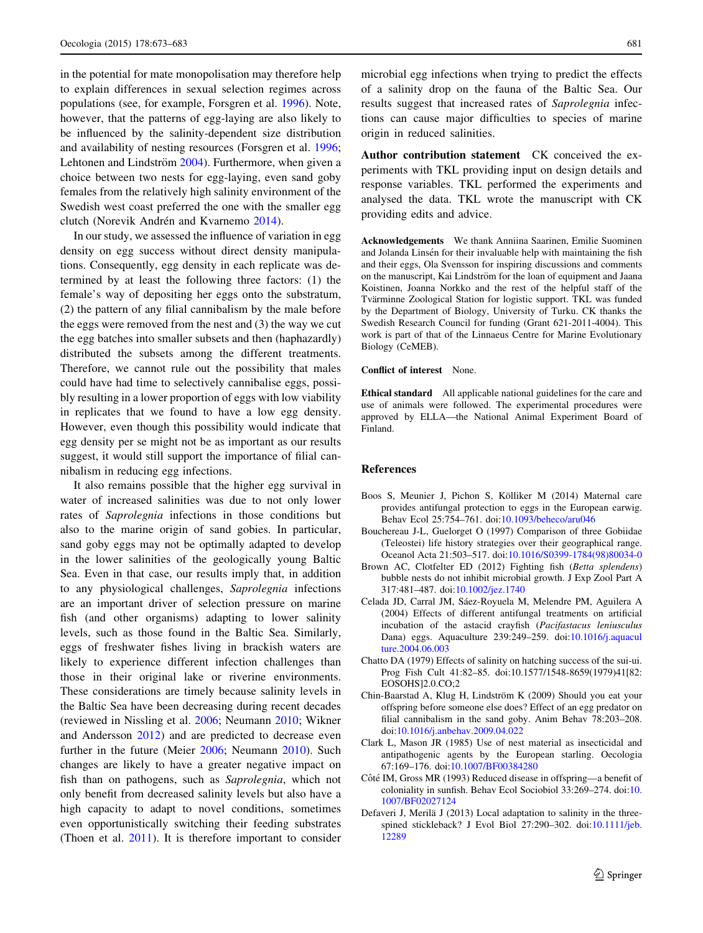<span id="page-8-0"></span>in the potential for mate monopolisation may therefore help to explain differences in sexual selection regimes across populations (see, for example, Forsgren et al. [1996](#page-9-0)). Note, however, that the patterns of egg-laying are also likely to be influenced by the salinity-dependent size distribution and availability of nesting resources (Forsgren et al. [1996](#page-9-0); Lehtonen and Lindström [2004](#page-9-0)). Furthermore, when given a choice between two nests for egg-laying, even sand goby females from the relatively high salinity environment of the Swedish west coast preferred the one with the smaller egg clutch (Norevik Andrén and Kvarnemo [2014\)](#page-10-0).

In our study, we assessed the influence of variation in egg density on egg success without direct density manipulations. Consequently, egg density in each replicate was determined by at least the following three factors: (1) the female's way of depositing her eggs onto the substratum, (2) the pattern of any filial cannibalism by the male before the eggs were removed from the nest and (3) the way we cut the egg batches into smaller subsets and then (haphazardly) distributed the subsets among the different treatments. Therefore, we cannot rule out the possibility that males could have had time to selectively cannibalise eggs, possibly resulting in a lower proportion of eggs with low viability in replicates that we found to have a low egg density. However, even though this possibility would indicate that egg density per se might not be as important as our results suggest, it would still support the importance of filial cannibalism in reducing egg infections.

It also remains possible that the higher egg survival in water of increased salinities was due to not only lower rates of Saprolegnia infections in those conditions but also to the marine origin of sand gobies. In particular, sand goby eggs may not be optimally adapted to develop in the lower salinities of the geologically young Baltic Sea. Even in that case, our results imply that, in addition to any physiological challenges, Saprolegnia infections are an important driver of selection pressure on marine fish (and other organisms) adapting to lower salinity levels, such as those found in the Baltic Sea. Similarly, eggs of freshwater fishes living in brackish waters are likely to experience different infection challenges than those in their original lake or riverine environments. These considerations are timely because salinity levels in the Baltic Sea have been decreasing during recent decades (reviewed in Nissling et al. [2006](#page-10-0); Neumann [2010](#page-9-0); Wikner and Andersson [2012](#page-10-0)) and are predicted to decrease even further in the future (Meier [2006;](#page-9-0) Neumann [2010](#page-9-0)). Such changes are likely to have a greater negative impact on fish than on pathogens, such as Saprolegnia, which not only benefit from decreased salinity levels but also have a high capacity to adapt to novel conditions, sometimes even opportunistically switching their feeding substrates (Thoen et al. [2011](#page-10-0)). It is therefore important to consider

microbial egg infections when trying to predict the effects of a salinity drop on the fauna of the Baltic Sea. Our results suggest that increased rates of Saprolegnia infections can cause major difficulties to species of marine origin in reduced salinities.

Author contribution statement CK conceived the experiments with TKL providing input on design details and response variables. TKL performed the experiments and analysed the data. TKL wrote the manuscript with CK providing edits and advice.

Acknowledgements We thank Anniina Saarinen, Emilie Suominen and Jolanda Linsén for their invaluable help with maintaining the fish and their eggs, Ola Svensson for inspiring discussions and comments on the manuscript, Kai Lindström for the loan of equipment and Jaana Koistinen, Joanna Norkko and the rest of the helpful staff of the Tvärminne Zoological Station for logistic support. TKL was funded by the Department of Biology, University of Turku. CK thanks the Swedish Research Council for funding (Grant 621-2011-4004). This work is part of that of the Linnaeus Centre for Marine Evolutionary Biology (CeMEB).

#### Conflict of interest None.

Ethical standard All applicable national guidelines for the care and use of animals were followed. The experimental procedures were approved by ELLA—the National Animal Experiment Board of Finland.

## References

- Boos S, Meunier J, Pichon S, Kölliker M (2014) Maternal care provides antifungal protection to eggs in the European earwig. Behav Ecol 25:754–761. doi:[10.1093/beheco/aru046](http://dx.doi.org/10.1093/beheco/aru046)
- Bouchereau J-L, Guelorget O (1997) Comparison of three Gobiidae (Teleostei) life history strategies over their geographical range. Oceanol Acta 21:503–517. doi:[10.1016/S0399-1784\(98\)80034-0](http://dx.doi.org/10.1016/S0399-1784(98)80034-0)
- Brown AC, Clotfelter ED (2012) Fighting fish (Betta splendens) bubble nests do not inhibit microbial growth. J Exp Zool Part A 317:481–487. doi[:10.1002/jez.1740](http://dx.doi.org/10.1002/jez.1740)
- Celada JD, Carral JM, Sáez-Royuela M, Melendre PM, Aguilera A (2004) Effects of different antifungal treatments on artificial incubation of the astacid crayfish (Pacifastacus leniusculus Dana) eggs. Aquaculture 239:249–259. doi[:10.1016/j.aquacul](http://dx.doi.org/10.1016/j.aquaculture.2004.06.003) [ture.2004.06.003](http://dx.doi.org/10.1016/j.aquaculture.2004.06.003)
- Chatto DA (1979) Effects of salinity on hatching success of the sui-ui. Prog Fish Cult 41:82–85. doi:10.1577/1548-8659(1979)41[82: EOSOHS]2.0.CO;2
- Chin-Baarstad A, Klug H, Lindström K (2009) Should you eat your offspring before someone else does? Effect of an egg predator on filial cannibalism in the sand goby. Anim Behav 78:203–208. doi[:10.1016/j.anbehav.2009.04.022](http://dx.doi.org/10.1016/j.anbehav.2009.04.022)
- Clark L, Mason JR (1985) Use of nest material as insecticidal and antipathogenic agents by the European starling. Oecologia 67:169–176. doi:[10.1007/BF00384280](http://dx.doi.org/10.1007/BF00384280)
- Côté IM, Gross MR (1993) Reduced disease in offspring—a benefit of coloniality in sunfish. Behav Ecol Sociobiol 33:269–274. doi:[10.](http://dx.doi.org/10.1007/BF02027124) [1007/BF02027124](http://dx.doi.org/10.1007/BF02027124)
- Defaveri J, Merilä J (2013) Local adaptation to salinity in the threespined stickleback? J Evol Biol 27:290–302. doi:[10.1111/jeb.](http://dx.doi.org/10.1111/jeb.12289) [12289](http://dx.doi.org/10.1111/jeb.12289)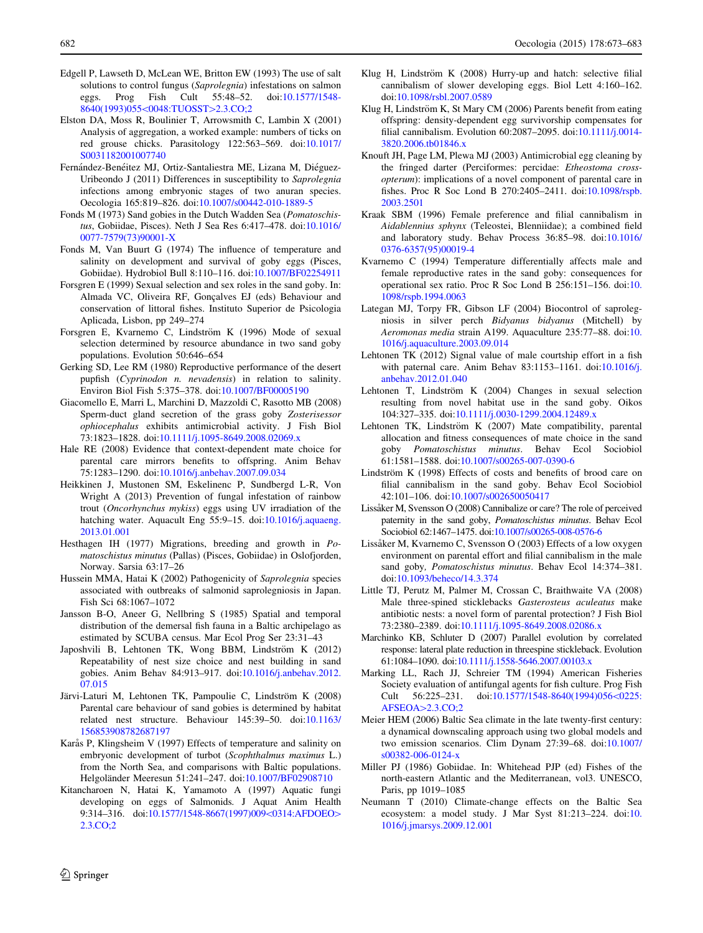- <span id="page-9-0"></span>Edgell P, Lawseth D, McLean WE, Britton EW (1993) The use of salt solutions to control fungus (Saprolegnia) infestations on salmon eggs. Prog Fish Cult 55:48–52. doi[:10.1577/1548-](http://dx.doi.org/10.1577/1548-8640(1993)055%3c0048:TUOSST%3e2.3.CO;2) [8640\(1993\)055](http://dx.doi.org/10.1577/1548-8640(1993)055%3c0048:TUOSST%3e2.3.CO;2)<0048:TUOSST>2.3.CO;2
- Elston DA, Moss R, Boulinier T, Arrowsmith C, Lambin X (2001) Analysis of aggregation, a worked example: numbers of ticks on red grouse chicks. Parasitology 122:563–569. doi[:10.1017/](http://dx.doi.org/10.1017/S0031182001007740) [S0031182001007740](http://dx.doi.org/10.1017/S0031182001007740)
- Fernández-Benéitez MJ, Ortiz-Santaliestra ME, Lizana M, Diéguez-Uribeondo J (2011) Differences in susceptibility to Saprolegnia infections among embryonic stages of two anuran species. Oecologia 165:819–826. doi:[10.1007/s00442-010-1889-5](http://dx.doi.org/10.1007/s00442-010-1889-5)
- Fonds M (1973) Sand gobies in the Dutch Wadden Sea (Pomatoschistus, Gobiidae, Pisces). Neth J Sea Res 6:417–478. doi[:10.1016/](http://dx.doi.org/10.1016/0077-7579(73)90001-X) [0077-7579\(73\)90001-X](http://dx.doi.org/10.1016/0077-7579(73)90001-X)
- Fonds M, Van Buurt G (1974) The influence of temperature and salinity on development and survival of goby eggs (Pisces, Gobiidae). Hydrobiol Bull 8:110–116. doi:[10.1007/BF02254911](http://dx.doi.org/10.1007/BF02254911)
- Forsgren E (1999) Sexual selection and sex roles in the sand goby. In: Almada VC, Oliveira RF, Gonçalves EJ (eds) Behaviour and conservation of littoral fishes. Instituto Superior de Psicologia Aplicada, Lisbon, pp 249–274
- Forsgren E, Kvarnemo C, Lindström K (1996) Mode of sexual selection determined by resource abundance in two sand goby populations. Evolution 50:646–654
- Gerking SD, Lee RM (1980) Reproductive performance of the desert pupfish (Cyprinodon n. nevadensis) in relation to salinity. Environ Biol Fish 5:375–378. doi[:10.1007/BF00005190](http://dx.doi.org/10.1007/BF00005190)
- Giacomello E, Marri L, Marchini D, Mazzoldi C, Rasotto MB (2008) Sperm-duct gland secretion of the grass goby Zosterisessor ophiocephalus exhibits antimicrobial activity. J Fish Biol 73:1823–1828. doi[:10.1111/j.1095-8649.2008.02069.x](http://dx.doi.org/10.1111/j.1095-8649.2008.02069.x)
- Hale RE (2008) Evidence that context-dependent mate choice for parental care mirrors benefits to offspring. Anim Behav 75:1283–1290. doi[:10.1016/j.anbehav.2007.09.034](http://dx.doi.org/10.1016/j.anbehav.2007.09.034)
- Heikkinen J, Mustonen SM, Eskelinenc P, Sundbergd L-R, Von Wright A (2013) Prevention of fungal infestation of rainbow trout (Oncorhynchus mykiss) eggs using UV irradiation of the hatching water. Aquacult Eng 55:9-15. doi[:10.1016/j.aquaeng.](http://dx.doi.org/10.1016/j.aquaeng.2013.01.001) [2013.01.001](http://dx.doi.org/10.1016/j.aquaeng.2013.01.001)
- Hesthagen IH (1977) Migrations, breeding and growth in Pomatoschistus minutus (Pallas) (Pisces, Gobiidae) in Oslofjorden, Norway. Sarsia 63:17–26
- Hussein MMA, Hatai K (2002) Pathogenicity of Saprolegnia species associated with outbreaks of salmonid saprolegniosis in Japan. Fish Sci 68:1067–1072
- Jansson B-O, Aneer G, Nellbring S (1985) Spatial and temporal distribution of the demersal fish fauna in a Baltic archipelago as estimated by SCUBA census. Mar Ecol Prog Ser 23:31–43
- Japoshvili B, Lehtonen TK, Wong BBM, Lindström K (2012) Repeatability of nest size choice and nest building in sand gobies. Anim Behav 84:913–917. doi[:10.1016/j.anbehav.2012.](http://dx.doi.org/10.1016/j.anbehav.2012.07.015) [07.015](http://dx.doi.org/10.1016/j.anbehav.2012.07.015)
- Järvi-Laturi M, Lehtonen TK, Pampoulie C, Lindström K (2008) Parental care behaviour of sand gobies is determined by habitat related nest structure. Behaviour 145:39–50. doi[:10.1163/](http://dx.doi.org/10.1163/156853908782687197) [156853908782687197](http://dx.doi.org/10.1163/156853908782687197)
- Karås P, Klingsheim V (1997) Effects of temperature and salinity on embryonic development of turbot (Scophthalmus maximus L.) from the North Sea, and comparisons with Baltic populations. Helgoländer Meeresun 51:241-247. doi:[10.1007/BF02908710](http://dx.doi.org/10.1007/BF02908710)
- Kitancharoen N, Hatai K, Yamamoto A (1997) Aquatic fungi developing on eggs of Salmonids. J Aquat Anim Health 9:314-316. doi:[10.1577/1548-8667\(1997\)009](http://dx.doi.org/10.1577/1548-8667(1997)009%3c0314:AFDOEO%3e2.3.CO;2)<0314:AFDOEO> [2.3.CO;2](http://dx.doi.org/10.1577/1548-8667(1997)009%3c0314:AFDOEO%3e2.3.CO;2)
- Klug H, Lindström K (2008) Hurry-up and hatch: selective filial cannibalism of slower developing eggs. Biol Lett 4:160–162. doi[:10.1098/rsbl.2007.0589](http://dx.doi.org/10.1098/rsbl.2007.0589)
- Klug H, Lindström K, St Mary CM (2006) Parents benefit from eating offspring: density-dependent egg survivorship compensates for filial cannibalism. Evolution 60:2087–2095. doi[:10.1111/j.0014-](http://dx.doi.org/10.1111/j.0014-3820.2006.tb01846.x) [3820.2006.tb01846.x](http://dx.doi.org/10.1111/j.0014-3820.2006.tb01846.x)
- Knouft JH, Page LM, Plewa MJ (2003) Antimicrobial egg cleaning by the fringed darter (Perciformes: percidae: Etheostoma crossopterum): implications of a novel component of parental care in fishes. Proc R Soc Lond B 270:2405–2411. doi:[10.1098/rspb.](http://dx.doi.org/10.1098/rspb.2003.2501) [2003.2501](http://dx.doi.org/10.1098/rspb.2003.2501)
- Kraak SBM (1996) Female preference and filial cannibalism in Aidablennius sphynx (Teleostei, Blenniidae); a combined field and laboratory study. Behav Process 36:85–98. doi[:10.1016/](http://dx.doi.org/10.1016/0376-6357(95)00019-4) [0376-6357\(95\)00019-4](http://dx.doi.org/10.1016/0376-6357(95)00019-4)
- Kvarnemo C (1994) Temperature differentially affects male and female reproductive rates in the sand goby: consequences for operational sex ratio. Proc R Soc Lond B 256:151–156. doi:[10.](http://dx.doi.org/10.1098/rspb.1994.0063) [1098/rspb.1994.0063](http://dx.doi.org/10.1098/rspb.1994.0063)
- Lategan MJ, Torpy FR, Gibson LF (2004) Biocontrol of saprolegniosis in silver perch Bidyanus bidyanus (Mitchell) by Aeromonas media strain A199. Aquaculture 235:77–88. doi:[10.](http://dx.doi.org/10.1016/j.aquaculture.2003.09.014) [1016/j.aquaculture.2003.09.014](http://dx.doi.org/10.1016/j.aquaculture.2003.09.014)
- Lehtonen TK (2012) Signal value of male courtship effort in a fish with paternal care. Anim Behav 83:1153–1161. doi:[10.1016/j.](http://dx.doi.org/10.1016/j.anbehav.2012.01.040) [anbehav.2012.01.040](http://dx.doi.org/10.1016/j.anbehav.2012.01.040)
- Lehtonen T, Lindström K (2004) Changes in sexual selection resulting from novel habitat use in the sand goby. Oikos 104:327–335. doi[:10.1111/j.0030-1299.2004.12489.x](http://dx.doi.org/10.1111/j.0030-1299.2004.12489.x)
- Lehtonen TK, Lindström K (2007) Mate compatibility, parental allocation and fitness consequences of mate choice in the sand goby Pomatoschistus minutus. Behav Ecol Sociobiol 61:1581–1588. doi[:10.1007/s00265-007-0390-6](http://dx.doi.org/10.1007/s00265-007-0390-6)
- Lindström K  $(1998)$  Effects of costs and benefits of brood care on filial cannibalism in the sand goby. Behav Ecol Sociobiol 42:101–106. doi:[10.1007/s002650050417](http://dx.doi.org/10.1007/s002650050417)
- Lissåker M, Svensson O (2008) Cannibalize or care? The role of perceived paternity in the sand goby, Pomatoschistus minutus. Behav Ecol Sociobiol 62:1467–1475. doi:[10.1007/s00265-008-0576-6](http://dx.doi.org/10.1007/s00265-008-0576-6)
- Lissåker M, Kvarnemo C, Svensson O (2003) Effects of a low oxygen environment on parental effort and filial cannibalism in the male sand goby, Pomatoschistus minutus. Behav Ecol 14:374–381. doi[:10.1093/beheco/14.3.374](http://dx.doi.org/10.1093/beheco/14.3.374)
- Little TJ, Perutz M, Palmer M, Crossan C, Braithwaite VA (2008) Male three-spined sticklebacks Gasterosteus aculeatus make antibiotic nests: a novel form of parental protection? J Fish Biol 73:2380–2389. doi[:10.1111/j.1095-8649.2008.02086.x](http://dx.doi.org/10.1111/j.1095-8649.2008.02086.x)
- Marchinko KB, Schluter D (2007) Parallel evolution by correlated response: lateral plate reduction in threespine stickleback. Evolution 61:1084–1090. doi[:10.1111/j.1558-5646.2007.00103.x](http://dx.doi.org/10.1111/j.1558-5646.2007.00103.x)
- Marking LL, Rach JJ, Schreier TM (1994) American Fisheries Society evaluation of antifungal agents for fish culture. Prog Fish Cult 56:225-231. doi[:10.1577/1548-8640\(1994\)056](http://dx.doi.org/10.1577/1548-8640(1994)056%3c0225:AFSEOA%3e2.3.CO;2)<0225: [AFSEOA](http://dx.doi.org/10.1577/1548-8640(1994)056%3c0225:AFSEOA%3e2.3.CO;2)>2.3.CO;2
- Meier HEM (2006) Baltic Sea climate in the late twenty-first century: a dynamical downscaling approach using two global models and two emission scenarios. Clim Dynam 27:39–68. doi[:10.1007/](http://dx.doi.org/10.1007/s00382-006-0124-x) [s00382-006-0124-x](http://dx.doi.org/10.1007/s00382-006-0124-x)
- Miller PJ (1986) Gobiidae. In: Whitehead PJP (ed) Fishes of the north-eastern Atlantic and the Mediterranean, vol3. UNESCO, Paris, pp 1019–1085
- Neumann T (2010) Climate-change effects on the Baltic Sea ecosystem: a model study. J Mar Syst 81:213–224. doi:[10.](http://dx.doi.org/10.1016/j.jmarsys.2009.12.001) [1016/j.jmarsys.2009.12.001](http://dx.doi.org/10.1016/j.jmarsys.2009.12.001)